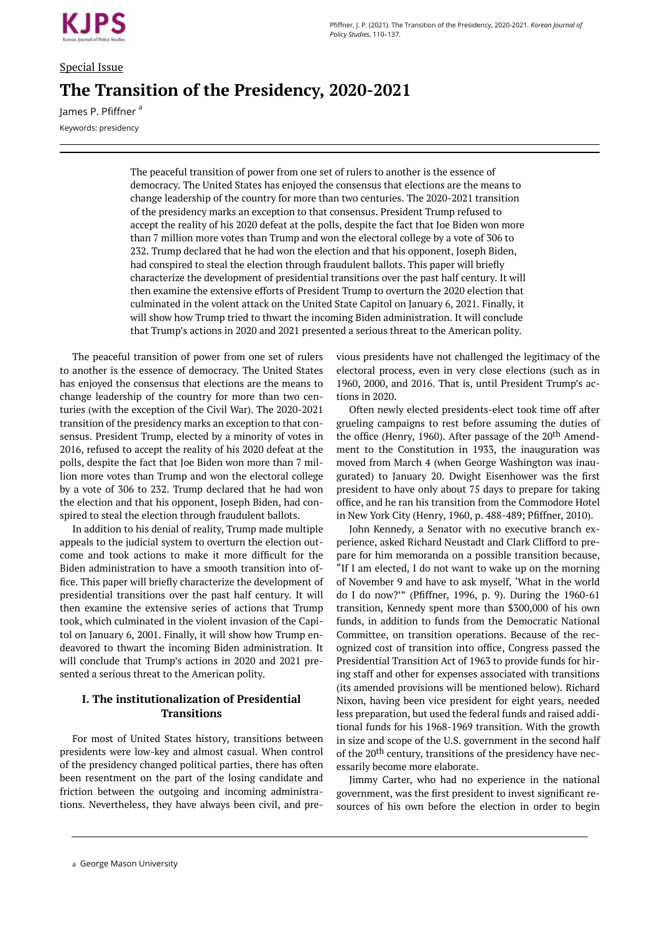

# Special Issue **The Transition of the Presidency, 2020-2021**

James P. Pfiffner<sup>a</sup> Keywords: presidency

> The peaceful transition of power from one set of rulers to another is the essence of democracy. The United States has enjoyed the consensus that elections are the means to change leadership of the country for more than two centuries. The 2020-2021 transition of the presidency marks an exception to that consensus. President Trump refused to accept the reality of his 2020 defeat at the polls, despite the fact that Joe Biden won more than 7 million more votes than Trump and won the electoral college by a vote of 306 to 232. Trump declared that he had won the election and that his opponent, Joseph Biden, had conspired to steal the election through fraudulent ballots. This paper will briefly characterize the development of presidential transitions over the past half century. It will then examine the extensive efforts of President Trump to overturn the 2020 election that culminated in the volent attack on the United State Capitol on January 6, 2021. Finally, it will show how Trump tried to thwart the incoming Biden administration. It will conclude that Trump's actions in 2020 and 2021 presented a serious threat to the American polity.

The peaceful transition of power from one set of rulers to another is the essence of democracy. The United States has enjoyed the consensus that elections are the means to change leadership of the country for more than two centuries (with the exception of the Civil War). The 2020-2021 transition of the presidency marks an exception to that consensus. President Trump, elected by a minority of votes in 2016, refused to accept the reality of his 2020 defeat at the polls, despite the fact that Joe Biden won more than 7 million more votes than Trump and won the electoral college by a vote of 306 to 232. Trump declared that he had won the election and that his opponent, Joseph Biden, had conspired to steal the election through fraudulent ballots.

In addition to his denial of reality, Trump made multiple appeals to the judicial system to overturn the election outcome and took actions to make it more difficult for the Biden administration to have a smooth transition into office. This paper will briefly characterize the development of presidential transitions over the past half century. It will then examine the extensive series of actions that Trump took, which culminated in the violent invasion of the Capitol on January 6, 2001. Finally, it will show how Trump endeavored to thwart the incoming Biden administration. It will conclude that Trump's actions in 2020 and 2021 presented a serious threat to the American polity.

# **I. The institutionalization of Presidential Transitions**

For most of United States history, transitions between presidents were low-key and almost casual. When control of the presidency changed political parties, there has often been resentment on the part of the losing candidate and friction between the outgoing and incoming administrations. Nevertheless, they have always been civil, and previous presidents have not challenged the legitimacy of the electoral process, even in very close elections (such as in 1960, 2000, and 2016. That is, until President Trump's actions in 2020.

Often newly elected presidents-elect took time off after grueling campaigns to rest before assuming the duties of the office (Henry, 1960). After passage of the 20<sup>th</sup> Amendment to the Constitution in 1933, the inauguration was moved from March 4 (when George Washington was inaugurated) to January 20. Dwight Eisenhower was the first president to have only about 75 days to prepare for taking office, and he ran his transition from the Commodore Hotel in New York City (Henry, 1960, p. 488-489; Pfiffner, 2010).

John Kennedy, a Senator with no executive branch experience, asked Richard Neustadt and Clark Clifford to prepare for him memoranda on a possible transition because, "If I am elected, I do not want to wake up on the morning of November 9 and have to ask myself, 'What in the world do I do now?'" (Pfiffner, 1996, p. 9). During the 1960-61 transition, Kennedy spent more than \$300,000 of his own funds, in addition to funds from the Democratic National Committee, on transition operations. Because of the recognized cost of transition into office, Congress passed the Presidential Transition Act of 1963 to provide funds for hiring staff and other for expenses associated with transitions (its amended provisions will be mentioned below). Richard Nixon, having been vice president for eight years, needed less preparation, but used the federal funds and raised additional funds for his 1968-1969 transition. With the growth in size and scope of the U.S. government in the second half of the 20<sup>th</sup> century, transitions of the presidency have necessarily become more elaborate.

Jimmy Carter, who had no experience in the national government, was the first president to invest significant resources of his own before the election in order to begin

a George Mason University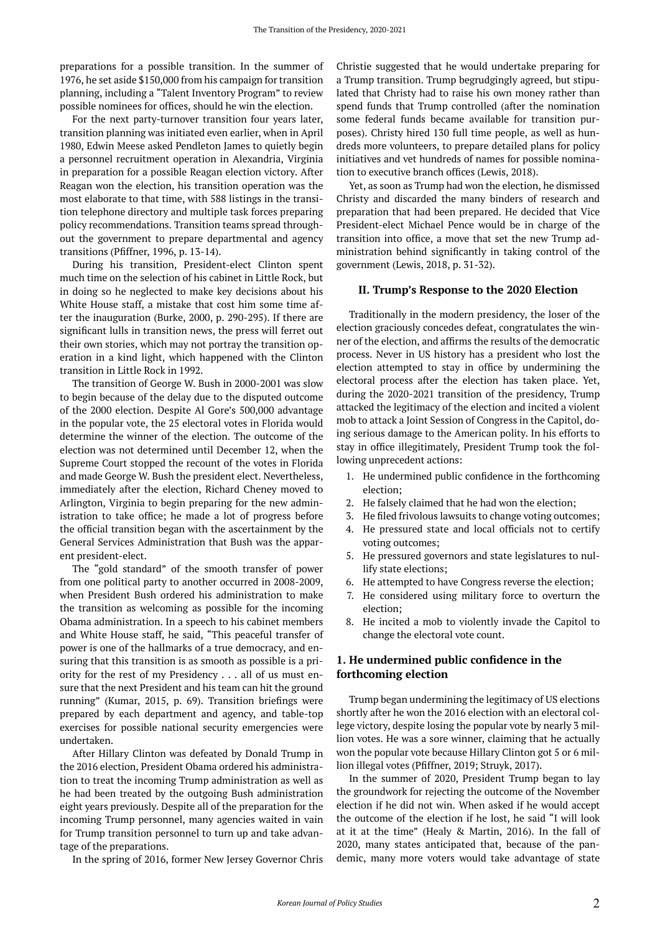preparations for a possible transition. In the summer of 1976, he set aside \$150,000 from his campaign for transition planning, including a "Talent Inventory Program" to review possible nominees for offices, should he win the election.

For the next party-turnover transition four years later, transition planning was initiated even earlier, when in April 1980, Edwin Meese asked Pendleton James to quietly begin a personnel recruitment operation in Alexandria, Virginia in preparation for a possible Reagan election victory. After Reagan won the election, his transition operation was the most elaborate to that time, with 588 listings in the transition telephone directory and multiple task forces preparing policy recommendations. Transition teams spread throughout the government to prepare departmental and agency transitions (Pfiffner, 1996, p. 13-14).

During his transition, President-elect Clinton spent much time on the selection of his cabinet in Little Rock, but in doing so he neglected to make key decisions about his White House staff, a mistake that cost him some time after the inauguration (Burke, 2000, p. 290-295). If there are significant lulls in transition news, the press will ferret out their own stories, which may not portray the transition operation in a kind light, which happened with the Clinton transition in Little Rock in 1992.

The transition of George W. Bush in 2000-2001 was slow to begin because of the delay due to the disputed outcome of the 2000 election. Despite Al Gore's 500,000 advantage in the popular vote, the 25 electoral votes in Florida would determine the winner of the election. The outcome of the election was not determined until December 12, when the Supreme Court stopped the recount of the votes in Florida and made George W. Bush the president elect. Nevertheless, immediately after the election, Richard Cheney moved to Arlington, Virginia to begin preparing for the new administration to take office; he made a lot of progress before the official transition began with the ascertainment by the General Services Administration that Bush was the apparent president-elect.

The "gold standard" of the smooth transfer of power from one political party to another occurred in 2008-2009, when President Bush ordered his administration to make the transition as welcoming as possible for the incoming Obama administration. In a speech to his cabinet members and White House staff, he said, "This peaceful transfer of power is one of the hallmarks of a true democracy, and ensuring that this transition is as smooth as possible is a priority for the rest of my Presidency . . . all of us must ensure that the next President and his team can hit the ground running" (Kumar, 2015, p. 69). Transition briefings were prepared by each department and agency, and table-top exercises for possible national security emergencies were undertaken.

After Hillary Clinton was defeated by Donald Trump in the 2016 election, President Obama ordered his administration to treat the incoming Trump administration as well as he had been treated by the outgoing Bush administration eight years previously. Despite all of the preparation for the incoming Trump personnel, many agencies waited in vain for Trump transition personnel to turn up and take advantage of the preparations.

In the spring of 2016, former New Jersey Governor Chris

Christie suggested that he would undertake preparing for a Trump transition. Trump begrudgingly agreed, but stipulated that Christy had to raise his own money rather than spend funds that Trump controlled (after the nomination some federal funds became available for transition purposes). Christy hired 130 full time people, as well as hundreds more volunteers, to prepare detailed plans for policy initiatives and vet hundreds of names for possible nomination to executive branch offices (Lewis, 2018).

Yet, as soon as Trump had won the election, he dismissed Christy and discarded the many binders of research and preparation that had been prepared. He decided that Vice President-elect Michael Pence would be in charge of the transition into office, a move that set the new Trump administration behind significantly in taking control of the government (Lewis, 2018, p. 31-32).

#### **II. Trump's Response to the 2020 Election**

Traditionally in the modern presidency, the loser of the election graciously concedes defeat, congratulates the winner of the election, and affirms the results of the democratic process. Never in US history has a president who lost the election attempted to stay in office by undermining the electoral process after the election has taken place. Yet, during the 2020-2021 transition of the presidency, Trump attacked the legitimacy of the election and incited a violent mob to attack a Joint Session of Congress in the Capitol, doing serious damage to the American polity. In his efforts to stay in office illegitimately, President Trump took the following unprecedent actions:

- 1. He undermined public confidence in the forthcoming election;
- 2. He falsely claimed that he had won the election;
- 3. He filed frivolous lawsuits to change voting outcomes;
- 4. He pressured state and local officials not to certify voting outcomes;
- 5. He pressured governors and state legislatures to nullify state elections;
- 6. He attempted to have Congress reverse the election;
- 7. He considered using military force to overturn the election;
- 8. He incited a mob to violently invade the Capitol to change the electoral vote count.

# **1. He undermined public confidence in the forthcoming election**

Trump began undermining the legitimacy of US elections shortly after he won the 2016 election with an electoral college victory, despite losing the popular vote by nearly 3 million votes. He was a sore winner, claiming that he actually won the popular vote because Hillary Clinton got 5 or 6 million illegal votes (Pfiffner, 2019; Struyk, 2017).

In the summer of 2020, President Trump began to lay the groundwork for rejecting the outcome of the November election if he did not win. When asked if he would accept the outcome of the election if he lost, he said "I will look at it at the time" (Healy & Martin, 2016). In the fall of 2020, many states anticipated that, because of the pandemic, many more voters would take advantage of state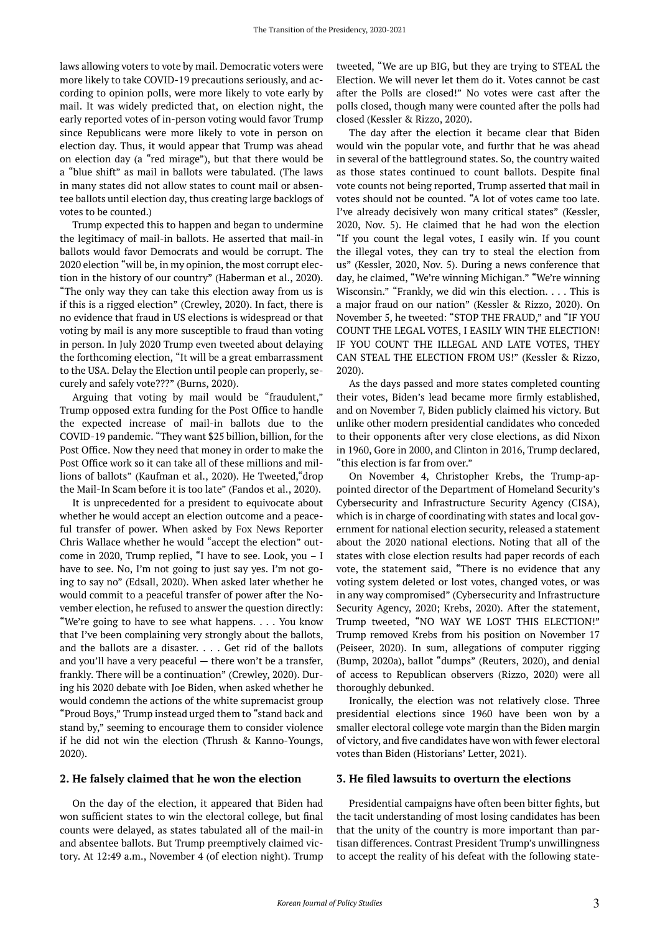laws allowing voters to vote by mail. Democratic voters were more likely to take COVID-19 precautions seriously, and according to opinion polls, were more likely to vote early by mail. It was widely predicted that, on election night, the early reported votes of in-person voting would favor Trump since Republicans were more likely to vote in person on election day. Thus, it would appear that Trump was ahead on election day (a "red mirage"), but that there would be a "blue shift" as mail in ballots were tabulated. (The laws in many states did not allow states to count mail or absentee ballots until election day, thus creating large backlogs of votes to be counted.)

Trump expected this to happen and began to undermine the legitimacy of mail-in ballots. He asserted that mail-in ballots would favor Democrats and would be corrupt. The 2020 election "will be, in my opinion, the most corrupt election in the history of our country" (Haberman et al., 2020). "The only way they can take this election away from us is if this is a rigged election" (Crewley, 2020). In fact, there is no evidence that fraud in US elections is widespread or that voting by mail is any more susceptible to fraud than voting in person. In July 2020 Trump even tweeted about delaying the forthcoming election, "It will be a great embarrassment to the USA. Delay the Election until people can properly, securely and safely vote???" (Burns, 2020).

Arguing that voting by mail would be "fraudulent," Trump opposed extra funding for the Post Office to handle the expected increase of mail-in ballots due to the COVID-19 pandemic. "They want \$25 billion, billion, for the Post Office. Now they need that money in order to make the Post Office work so it can take all of these millions and millions of ballots" (Kaufman et al., 2020). He Tweeted,"drop the Mail-In Scam before it is too late" (Fandos et al., 2020).

It is unprecedented for a president to equivocate about whether he would accept an election outcome and a peaceful transfer of power. When asked by Fox News Reporter Chris Wallace whether he would "accept the election" outcome in 2020, Trump replied, "I have to see. Look, you – I have to see. No, I'm not going to just say yes. I'm not going to say no" (Edsall, 2020). When asked later whether he would commit to a peaceful transfer of power after the November election, he refused to answer the question directly: "We're going to have to see what happens. . . . You know that I've been complaining very strongly about the ballots, and the ballots are a disaster. . . . Get rid of the ballots and you'll have a very peaceful — there won't be a transfer, frankly. There will be a continuation" (Crewley, 2020). During his 2020 debate with Joe Biden, when asked whether he would condemn the actions of the white supremacist group "Proud Boys," Trump instead urged them to "stand back and stand by," seeming to encourage them to consider violence if he did not win the election (Thrush & Kanno-Youngs, 2020).

#### **2. He falsely claimed that he won the election**

On the day of the election, it appeared that Biden had won sufficient states to win the electoral college, but final counts were delayed, as states tabulated all of the mail-in and absentee ballots. But Trump preemptively claimed victory. At 12:49 a.m., November 4 (of election night). Trump

tweeted, "We are up BIG, but they are trying to STEAL the Election. We will never let them do it. Votes cannot be cast after the Polls are closed!" No votes were cast after the polls closed, though many were counted after the polls had closed (Kessler & Rizzo, 2020).

The day after the election it became clear that Biden would win the popular vote, and furthr that he was ahead in several of the battleground states. So, the country waited as those states continued to count ballots. Despite final vote counts not being reported, Trump asserted that mail in votes should not be counted. "A lot of votes came too late. I've already decisively won many critical states" (Kessler, 2020, Nov. 5). He claimed that he had won the election "If you count the legal votes, I easily win. If you count the illegal votes, they can try to steal the election from us" (Kessler, 2020, Nov. 5). During a news conference that day, he claimed, "We're winning Michigan." "We're winning Wisconsin." "Frankly, we did win this election. . . . This is a major fraud on our nation" (Kessler & Rizzo, 2020). On November 5, he tweeted: "STOP THE FRAUD," and "IF YOU COUNT THE LEGAL VOTES, I EASILY WIN THE ELECTION! IF YOU COUNT THE ILLEGAL AND LATE VOTES, THEY CAN STEAL THE ELECTION FROM US!" (Kessler & Rizzo, 2020).

As the days passed and more states completed counting their votes, Biden's lead became more firmly established, and on November 7, Biden publicly claimed his victory. But unlike other modern presidential candidates who conceded to their opponents after very close elections, as did Nixon in 1960, Gore in 2000, and Clinton in 2016, Trump declared, "this election is far from over."

On November 4, Christopher Krebs, the Trump-appointed director of the Department of Homeland Security's Cybersecurity and Infrastructure Security Agency (CISA), which is in charge of coordinating with states and local government for national election security, released a statement about the 2020 national elections. Noting that all of the states with close election results had paper records of each vote, the statement said, "There is no evidence that any voting system deleted or lost votes, changed votes, or was in any way compromised" (Cybersecurity and Infrastructure Security Agency, 2020; Krebs, 2020). After the statement, Trump tweeted, "NO WAY WE LOST THIS ELECTION!" Trump removed Krebs from his position on November 17 (Peiseer, 2020). In sum, allegations of computer rigging (Bump, 2020a), ballot "dumps" (Reuters, 2020), and denial of access to Republican observers (Rizzo, 2020) were all thoroughly debunked.

Ironically, the election was not relatively close. Three presidential elections since 1960 have been won by a smaller electoral college vote margin than the Biden margin of victory, and five candidates have won with fewer electoral votes than Biden (Historians' Letter, 2021).

#### **3. He filed lawsuits to overturn the elections**

Presidential campaigns have often been bitter fights, but the tacit understanding of most losing candidates has been that the unity of the country is more important than partisan differences. Contrast President Trump's unwillingness to accept the reality of his defeat with the following state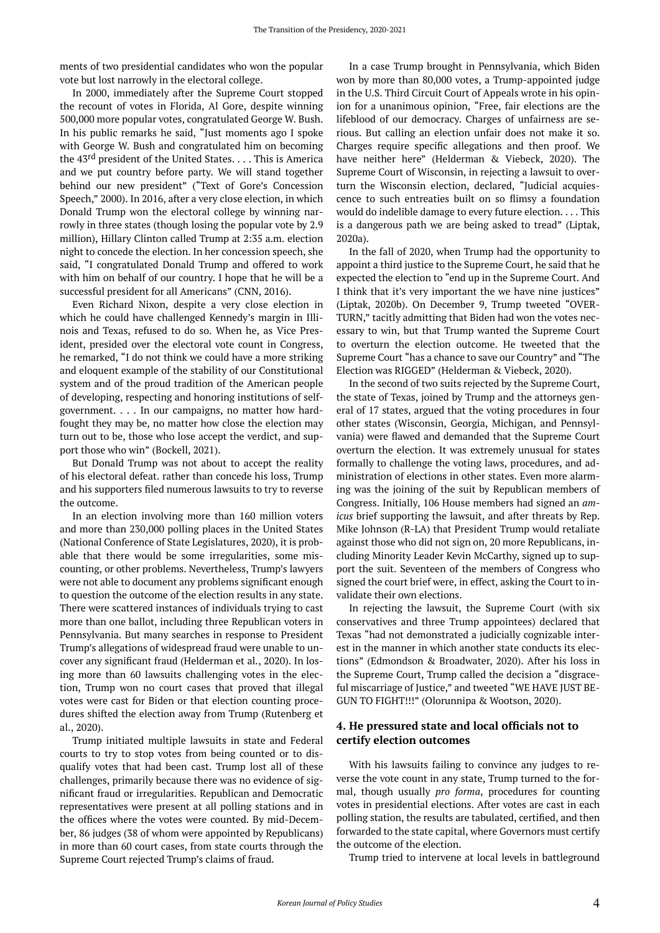ments of two presidential candidates who won the popular vote but lost narrowly in the electoral college.

In 2000, immediately after the Supreme Court stopped the recount of votes in Florida, Al Gore, despite winning 500,000 more popular votes, congratulated George W. Bush. In his public remarks he said, "Just moments ago I spoke with George W. Bush and congratulated him on becoming the  $43<sup>rd</sup>$  president of the United States. . . . This is America and we put country before party. We will stand together behind our new president" ("Text of Gore's Concession Speech," 2000). In 2016, after a very close election, in which Donald Trump won the electoral college by winning narrowly in three states (though losing the popular vote by 2.9 million), Hillary Clinton called Trump at 2:35 a.m. election night to concede the election. In her concession speech, she said, "I congratulated Donald Trump and offered to work with him on behalf of our country. I hope that he will be a successful president for all Americans" (CNN, 2016).

Even Richard Nixon, despite a very close election in which he could have challenged Kennedy's margin in Illinois and Texas, refused to do so. When he, as Vice President, presided over the electoral vote count in Congress, he remarked, "I do not think we could have a more striking and eloquent example of the stability of our Constitutional system and of the proud tradition of the American people of developing, respecting and honoring institutions of selfgovernment. . . . In our campaigns, no matter how hardfought they may be, no matter how close the election may turn out to be, those who lose accept the verdict, and support those who win" (Bockell, 2021).

But Donald Trump was not about to accept the reality of his electoral defeat. rather than concede his loss, Trump and his supporters filed numerous lawsuits to try to reverse the outcome.

In an election involving more than 160 million voters and more than 230,000 polling places in the United States (National Conference of State Legislatures, 2020), it is probable that there would be some irregularities, some miscounting, or other problems. Nevertheless, Trump's lawyers were not able to document any problems significant enough to question the outcome of the election results in any state. There were scattered instances of individuals trying to cast more than one ballot, including three Republican voters in Pennsylvania. But many searches in response to President Trump's allegations of widespread fraud were unable to uncover any significant fraud (Helderman et al., 2020). In losing more than 60 lawsuits challenging votes in the election, Trump won no court cases that proved that illegal votes were cast for Biden or that election counting procedures shifted the election away from Trump (Rutenberg et al., 2020).

Trump initiated multiple lawsuits in state and Federal courts to try to stop votes from being counted or to disqualify votes that had been cast. Trump lost all of these challenges, primarily because there was no evidence of significant fraud or irregularities. Republican and Democratic representatives were present at all polling stations and in the offices where the votes were counted. By mid-December, 86 judges (38 of whom were appointed by Republicans) in more than 60 court cases, from state courts through the Supreme Court rejected Trump's claims of fraud.

In a case Trump brought in Pennsylvania, which Biden won by more than 80,000 votes, a Trump-appointed judge in the U.S. Third Circuit Court of Appeals wrote in his opinion for a unanimous opinion, "Free, fair elections are the lifeblood of our democracy. Charges of unfairness are serious. But calling an election unfair does not make it so. Charges require specific allegations and then proof. We have neither here" (Helderman & Viebeck, 2020). The Supreme Court of Wisconsin, in rejecting a lawsuit to overturn the Wisconsin election, declared, "Judicial acquiescence to such entreaties built on so flimsy a foundation would do indelible damage to every future election. . . . This is a dangerous path we are being asked to tread" (Liptak, 2020a).

In the fall of 2020, when Trump had the opportunity to appoint a third justice to the Supreme Court, he said that he expected the election to "end up in the Supreme Court. And I think that it's very important the we have nine justices" (Liptak, 2020b). On December 9, Trump tweeted "OVER-TURN," tacitly admitting that Biden had won the votes necessary to win, but that Trump wanted the Supreme Court to overturn the election outcome. He tweeted that the Supreme Court "has a chance to save our Country" and "The Election was RIGGED" (Helderman & Viebeck, 2020).

In the second of two suits rejected by the Supreme Court, the state of Texas, joined by Trump and the attorneys general of 17 states, argued that the voting procedures in four other states (Wisconsin, Georgia, Michigan, and Pennsylvania) were flawed and demanded that the Supreme Court overturn the election. It was extremely unusual for states formally to challenge the voting laws, procedures, and administration of elections in other states. Even more alarming was the joining of the suit by Republican members of Congress. Initially, 106 House members had signed an *amicus* brief supporting the lawsuit, and after threats by Rep. Mike Johnson (R-LA) that President Trump would retaliate against those who did not sign on, 20 more Republicans, including Minority Leader Kevin McCarthy, signed up to support the suit. Seventeen of the members of Congress who signed the court brief were, in effect, asking the Court to invalidate their own elections.

In rejecting the lawsuit, the Supreme Court (with six conservatives and three Trump appointees) declared that Texas "had not demonstrated a judicially cognizable interest in the manner in which another state conducts its elections" (Edmondson & Broadwater, 2020). After his loss in the Supreme Court, Trump called the decision a "disgraceful miscarriage of Justice," and tweeted "WE HAVE JUST BE-GUN TO FIGHT!!!" (Olorunnipa & Wootson, 2020).

### **4. He pressured state and local officials not to certify election outcomes**

With his lawsuits failing to convince any judges to reverse the vote count in any state, Trump turned to the formal, though usually *pro forma*, procedures for counting votes in presidential elections. After votes are cast in each polling station, the results are tabulated, certified, and then forwarded to the state capital, where Governors must certify the outcome of the election.

Trump tried to intervene at local levels in battleground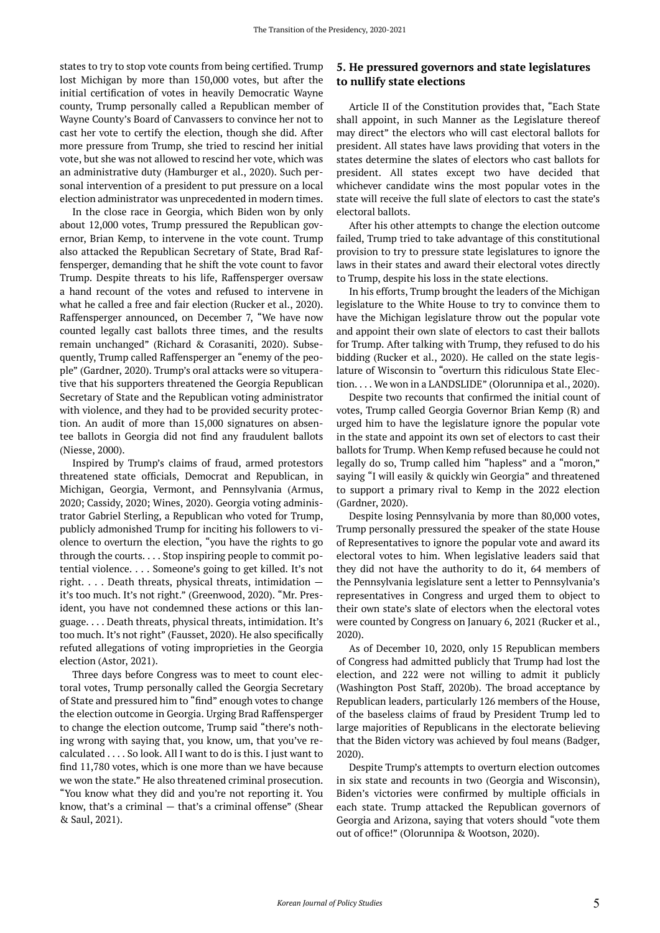states to try to stop vote counts from being certified. Trump lost Michigan by more than 150,000 votes, but after the initial certification of votes in heavily Democratic Wayne county, Trump personally called a Republican member of Wayne County's Board of Canvassers to convince her not to cast her vote to certify the election, though she did. After more pressure from Trump, she tried to rescind her initial vote, but she was not allowed to rescind her vote, which was an administrative duty (Hamburger et al., 2020). Such personal intervention of a president to put pressure on a local election administrator was unprecedented in modern times.

In the close race in Georgia, which Biden won by only about 12,000 votes, Trump pressured the Republican governor, Brian Kemp, to intervene in the vote count. Trump also attacked the Republican Secretary of State, Brad Raffensperger, demanding that he shift the vote count to favor Trump. Despite threats to his life, Raffensperger oversaw a hand recount of the votes and refused to intervene in what he called a free and fair election (Rucker et al., 2020). Raffensperger announced, on December 7, "We have now counted legally cast ballots three times, and the results remain unchanged" (Richard & Corasaniti, 2020). Subsequently, Trump called Raffensperger an "enemy of the people" (Gardner, 2020). Trump's oral attacks were so vituperative that his supporters threatened the Georgia Republican Secretary of State and the Republican voting administrator with violence, and they had to be provided security protection. An audit of more than 15,000 signatures on absentee ballots in Georgia did not find any fraudulent ballots (Niesse, 2000).

Inspired by Trump's claims of fraud, armed protestors threatened state officials, Democrat and Republican, in Michigan, Georgia, Vermont, and Pennsylvania (Armus, 2020; Cassidy, 2020; Wines, 2020). Georgia voting administrator Gabriel Sterling, a Republican who voted for Trump, publicly admonished Trump for inciting his followers to violence to overturn the election, "you have the rights to go through the courts. . . . Stop inspiring people to commit potential violence. . . . Someone's going to get killed. It's not right. . . . Death threats, physical threats, intimidation it's too much. It's not right." (Greenwood, 2020). "Mr. President, you have not condemned these actions or this language. . . . Death threats, physical threats, intimidation. It's too much. It's not right" (Fausset, 2020). He also specifically refuted allegations of voting improprieties in the Georgia election (Astor, 2021).

Three days before Congress was to meet to count electoral votes, Trump personally called the Georgia Secretary of State and pressured him to "find" enough votes to change the election outcome in Georgia. Urging Brad Raffensperger to change the election outcome, Trump said "there's nothing wrong with saying that, you know, um, that you've recalculated . . . . So look. All I want to do is this. I just want to find 11,780 votes, which is one more than we have because we won the state." He also threatened criminal prosecution. "You know what they did and you're not reporting it. You know, that's a criminal — that's a criminal offense" (Shear & Saul, 2021).

# **5. He pressured governors and state legislatures to nullify state elections**

Article II of the Constitution provides that, "Each State shall appoint, in such Manner as the Legislature thereof may direct" the electors who will cast electoral ballots for president. All states have laws providing that voters in the states determine the slates of electors who cast ballots for president. All states except two have decided that whichever candidate wins the most popular votes in the state will receive the full slate of electors to cast the state's electoral ballots.

After his other attempts to change the election outcome failed, Trump tried to take advantage of this constitutional provision to try to pressure state legislatures to ignore the laws in their states and award their electoral votes directly to Trump, despite his loss in the state elections.

In his efforts, Trump brought the leaders of the Michigan legislature to the White House to try to convince them to have the Michigan legislature throw out the popular vote and appoint their own slate of electors to cast their ballots for Trump. After talking with Trump, they refused to do his bidding (Rucker et al., 2020). He called on the state legislature of Wisconsin to "overturn this ridiculous State Election. . . . We won in a LANDSLIDE" (Olorunnipa et al., 2020).

Despite two recounts that confirmed the initial count of votes, Trump called Georgia Governor Brian Kemp (R) and urged him to have the legislature ignore the popular vote in the state and appoint its own set of electors to cast their ballots for Trump. When Kemp refused because he could not legally do so, Trump called him "hapless" and a "moron," saying "I will easily & quickly win Georgia" and threatened to support a primary rival to Kemp in the 2022 election (Gardner, 2020).

Despite losing Pennsylvania by more than 80,000 votes, Trump personally pressured the speaker of the state House of Representatives to ignore the popular vote and award its electoral votes to him. When legislative leaders said that they did not have the authority to do it, 64 members of the Pennsylvania legislature sent a letter to Pennsylvania's representatives in Congress and urged them to object to their own state's slate of electors when the electoral votes were counted by Congress on January 6, 2021 (Rucker et al., 2020).

As of December 10, 2020, only 15 Republican members of Congress had admitted publicly that Trump had lost the election, and 222 were not willing to admit it publicly (Washington Post Staff, 2020b). The broad acceptance by Republican leaders, particularly 126 members of the House, of the baseless claims of fraud by President Trump led to large majorities of Republicans in the electorate believing that the Biden victory was achieved by foul means (Badger, 2020).

Despite Trump's attempts to overturn election outcomes in six state and recounts in two (Georgia and Wisconsin), Biden's victories were confirmed by multiple officials in each state. Trump attacked the Republican governors of Georgia and Arizona, saying that voters should "vote them out of office!" (Olorunnipa & Wootson, 2020).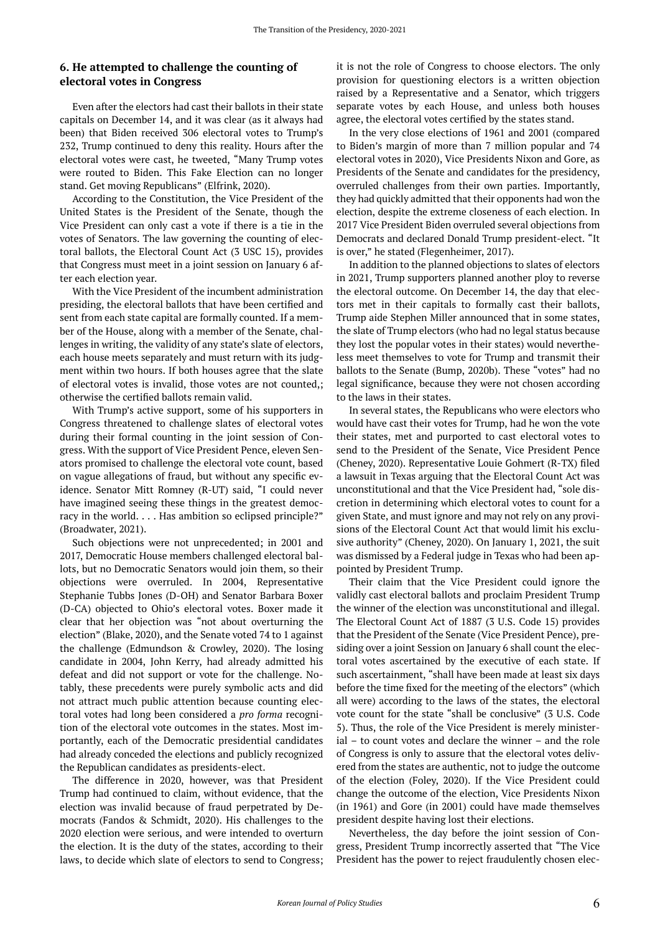### **6. He attempted to challenge the counting of electoral votes in Congress**

Even after the electors had cast their ballots in their state capitals on December 14, and it was clear (as it always had been) that Biden received 306 electoral votes to Trump's 232, Trump continued to deny this reality. Hours after the electoral votes were cast, he tweeted, "Many Trump votes were routed to Biden. This Fake Election can no longer stand. Get moving Republicans" (Elfrink, 2020).

According to the Constitution, the Vice President of the United States is the President of the Senate, though the Vice President can only cast a vote if there is a tie in the votes of Senators. The law governing the counting of electoral ballots, the Electoral Count Act (3 USC 15), provides that Congress must meet in a joint session on January 6 after each election year.

With the Vice President of the incumbent administration presiding, the electoral ballots that have been certified and sent from each state capital are formally counted. If a member of the House, along with a member of the Senate, challenges in writing, the validity of any state's slate of electors, each house meets separately and must return with its judgment within two hours. If both houses agree that the slate of electoral votes is invalid, those votes are not counted,; otherwise the certified ballots remain valid.

With Trump's active support, some of his supporters in Congress threatened to challenge slates of electoral votes during their formal counting in the joint session of Congress. With the support of Vice President Pence, eleven Senators promised to challenge the electoral vote count, based on vague allegations of fraud, but without any specific evidence. Senator Mitt Romney (R-UT) said, "I could never have imagined seeing these things in the greatest democracy in the world. . . . Has ambition so eclipsed principle?" (Broadwater, 2021).

Such objections were not unprecedented; in 2001 and 2017, Democratic House members challenged electoral ballots, but no Democratic Senators would join them, so their objections were overruled. In 2004, Representative Stephanie Tubbs Jones (D-OH) and Senator Barbara Boxer (D-CA) objected to Ohio's electoral votes. Boxer made it clear that her objection was "not about overturning the election" (Blake, 2020), and the Senate voted 74 to 1 against the challenge (Edmundson & Crowley, 2020). The losing candidate in 2004, John Kerry, had already admitted his defeat and did not support or vote for the challenge. Notably, these precedents were purely symbolic acts and did not attract much public attention because counting electoral votes had long been considered a *pro forma* recognition of the electoral vote outcomes in the states. Most importantly, each of the Democratic presidential candidates had already conceded the elections and publicly recognized the Republican candidates as presidents-elect.

The difference in 2020, however, was that President Trump had continued to claim, without evidence, that the election was invalid because of fraud perpetrated by Democrats (Fandos & Schmidt, 2020). His challenges to the 2020 election were serious, and were intended to overturn the election. It is the duty of the states, according to their laws, to decide which slate of electors to send to Congress; it is not the role of Congress to choose electors. The only provision for questioning electors is a written objection raised by a Representative and a Senator, which triggers separate votes by each House, and unless both houses agree, the electoral votes certified by the states stand.

In the very close elections of 1961 and 2001 (compared to Biden's margin of more than 7 million popular and 74 electoral votes in 2020), Vice Presidents Nixon and Gore, as Presidents of the Senate and candidates for the presidency, overruled challenges from their own parties. Importantly, they had quickly admitted that their opponents had won the election, despite the extreme closeness of each election. In 2017 Vice President Biden overruled several objections from Democrats and declared Donald Trump president-elect. "It is over," he stated (Flegenheimer, 2017).

In addition to the planned objections to slates of electors in 2021, Trump supporters planned another ploy to reverse the electoral outcome. On December 14, the day that electors met in their capitals to formally cast their ballots, Trump aide Stephen Miller announced that in some states, the slate of Trump electors (who had no legal status because they lost the popular votes in their states) would nevertheless meet themselves to vote for Trump and transmit their ballots to the Senate (Bump, 2020b). These "votes" had no legal significance, because they were not chosen according to the laws in their states.

In several states, the Republicans who were electors who would have cast their votes for Trump, had he won the vote their states, met and purported to cast electoral votes to send to the President of the Senate, Vice President Pence (Cheney, 2020). Representative Louie Gohmert (R-TX) filed a lawsuit in Texas arguing that the Electoral Count Act was unconstitutional and that the Vice President had, "sole discretion in determining which electoral votes to count for a given State, and must ignore and may not rely on any provisions of the Electoral Count Act that would limit his exclusive authority" (Cheney, 2020). On January 1, 2021, the suit was dismissed by a Federal judge in Texas who had been appointed by President Trump.

Their claim that the Vice President could ignore the validly cast electoral ballots and proclaim President Trump the winner of the election was unconstitutional and illegal. The Electoral Count Act of 1887 (3 U.S. Code 15) provides that the President of the Senate (Vice President Pence), presiding over a joint Session on January 6 shall count the electoral votes ascertained by the executive of each state. If such ascertainment, "shall have been made at least six days before the time fixed for the meeting of the electors" (which all were) according to the laws of the states, the electoral vote count for the state "shall be conclusive" (3 U.S. Code 5). Thus, the role of the Vice President is merely ministerial – to count votes and declare the winner – and the role of Congress is only to assure that the electoral votes delivered from the states are authentic, not to judge the outcome of the election (Foley, 2020). If the Vice President could change the outcome of the election, Vice Presidents Nixon (in 1961) and Gore (in 2001) could have made themselves president despite having lost their elections.

Nevertheless, the day before the joint session of Congress, President Trump incorrectly asserted that "The Vice President has the power to reject fraudulently chosen elec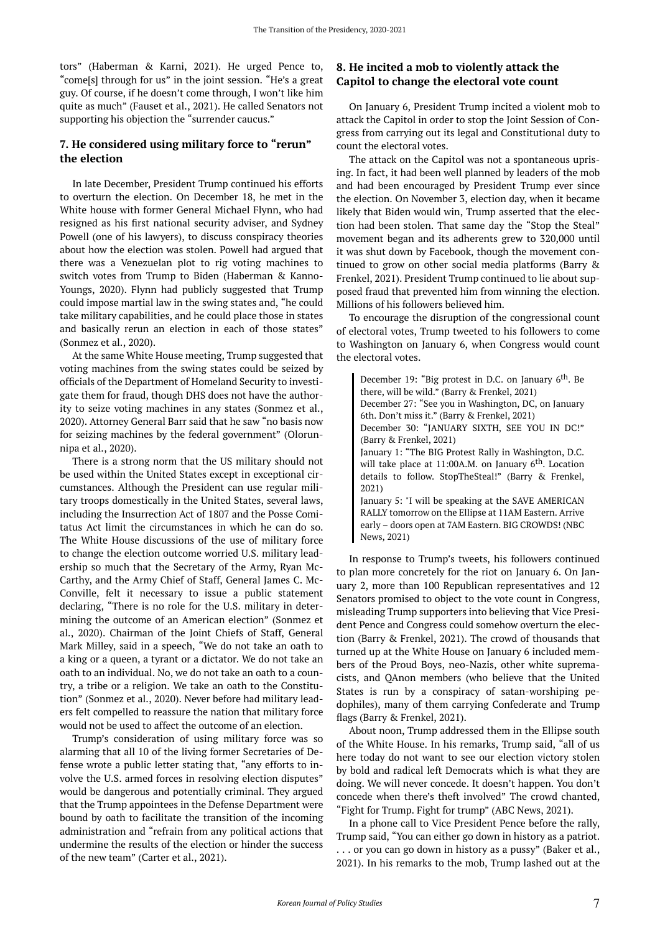tors" (Haberman & Karni, 2021). He urged Pence to, "come[s] through for us" in the joint session. "He's a great guy. Of course, if he doesn't come through, I won't like him quite as much" (Fauset et al., 2021). He called Senators not supporting his objection the "surrender caucus."

### **7. He considered using military force to "rerun" the election**

In late December, President Trump continued his efforts to overturn the election. On December 18, he met in the White house with former General Michael Flynn, who had resigned as his first national security adviser, and Sydney Powell (one of his lawyers), to discuss conspiracy theories about how the election was stolen. Powell had argued that there was a Venezuelan plot to rig voting machines to switch votes from Trump to Biden (Haberman & Kanno-Youngs, 2020). Flynn had publicly suggested that Trump could impose martial law in the swing states and, "he could take military capabilities, and he could place those in states and basically rerun an election in each of those states" (Sonmez et al., 2020).

At the same White House meeting, Trump suggested that voting machines from the swing states could be seized by officials of the Department of Homeland Security to investigate them for fraud, though DHS does not have the authority to seize voting machines in any states (Sonmez et al., 2020). Attorney General Barr said that he saw "no basis now for seizing machines by the federal government" (Olorunnipa et al., 2020).

There is a strong norm that the US military should not be used within the United States except in exceptional circumstances. Although the President can use regular military troops domestically in the United States, several laws, including the Insurrection Act of 1807 and the Posse Comitatus Act limit the circumstances in which he can do so. The White House discussions of the use of military force to change the election outcome worried U.S. military leadership so much that the Secretary of the Army, Ryan Mc-Carthy, and the Army Chief of Staff, General James C. Mc-Conville, felt it necessary to issue a public statement declaring, "There is no role for the U.S. military in determining the outcome of an American election" (Sonmez et al., 2020). Chairman of the Joint Chiefs of Staff, General Mark Milley, said in a speech, "We do not take an oath to a king or a queen, a tyrant or a dictator. We do not take an oath to an individual. No, we do not take an oath to a country, a tribe or a religion. We take an oath to the Constitution" (Sonmez et al., 2020). Never before had military leaders felt compelled to reassure the nation that military force would not be used to affect the outcome of an election.

Trump's consideration of using military force was so alarming that all 10 of the living former Secretaries of Defense wrote a public letter stating that, "any efforts to involve the U.S. armed forces in resolving election disputes" would be dangerous and potentially criminal. They argued that the Trump appointees in the Defense Department were bound by oath to facilitate the transition of the incoming administration and "refrain from any political actions that undermine the results of the election or hinder the success of the new team" (Carter et al., 2021).

# **8. He incited a mob to violently attack the Capitol to change the electoral vote count**

On January 6, President Trump incited a violent mob to attack the Capitol in order to stop the Joint Session of Congress from carrying out its legal and Constitutional duty to count the electoral votes.

The attack on the Capitol was not a spontaneous uprising. In fact, it had been well planned by leaders of the mob and had been encouraged by President Trump ever since the election. On November 3, election day, when it became likely that Biden would win, Trump asserted that the election had been stolen. That same day the "Stop the Steal" movement began and its adherents grew to 320,000 until it was shut down by Facebook, though the movement continued to grow on other social media platforms (Barry & Frenkel, 2021). President Trump continued to lie about supposed fraud that prevented him from winning the election. Millions of his followers believed him.

To encourage the disruption of the congressional count of electoral votes, Trump tweeted to his followers to come to Washington on January 6, when Congress would count the electoral votes.

December 19: "Big protest in D.C. on January  $6<sup>th</sup>$ . Be there, will be wild." (Barry & Frenkel, 2021) December 27: "See you in Washington, DC, on January 6th. Don't miss it." (Barry & Frenkel, 2021) December 30: "JANUARY SIXTH, SEE YOU IN DC!" (Barry & Frenkel, 2021) January 1: "The BIG Protest Rally in Washington, D.C. will take place at 11:00A.M. on January 6<sup>th</sup>. Location details to follow. StopTheSteal!" (Barry & Frenkel, 2021) January 5: "I will be speaking at the SAVE AMERICAN RALLY tomorrow on the Ellipse at 11AM Eastern. Arrive early – doors open at 7AM Eastern. BIG CROWDS! (NBC News, 2021)

In response to Trump's tweets, his followers continued to plan more concretely for the riot on January 6. On January 2, more than 100 Republican representatives and 12 Senators promised to object to the vote count in Congress, misleading Trump supporters into believing that Vice President Pence and Congress could somehow overturn the election (Barry & Frenkel, 2021). The crowd of thousands that turned up at the White House on January 6 included members of the Proud Boys, neo-Nazis, other white supremacists, and QAnon members (who believe that the United States is run by a conspiracy of satan-worshiping pedophiles), many of them carrying Confederate and Trump flags (Barry & Frenkel, 2021).

About noon, Trump addressed them in the Ellipse south of the White House. In his remarks, Trump said, "all of us here today do not want to see our election victory stolen by bold and radical left Democrats which is what they are doing. We will never concede. It doesn't happen. You don't concede when there's theft involved" The crowd chanted, "Fight for Trump. Fight for trump" (ABC News, 2021).

In a phone call to Vice President Pence before the rally, Trump said, "You can either go down in history as a patriot. . . . or you can go down in history as a pussy" (Baker et al., 2021). In his remarks to the mob, Trump lashed out at the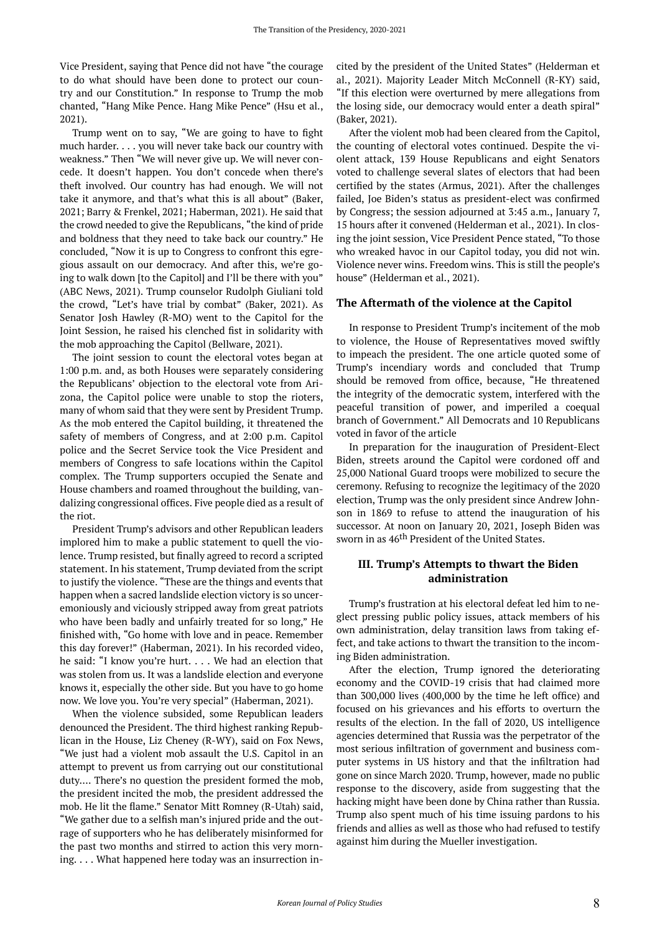Vice President, saying that Pence did not have "the courage to do what should have been done to protect our country and our Constitution." In response to Trump the mob chanted, "Hang Mike Pence. Hang Mike Pence" (Hsu et al., 2021).

Trump went on to say, "We are going to have to fight much harder. . . . you will never take back our country with weakness." Then "We will never give up. We will never concede. It doesn't happen. You don't concede when there's theft involved. Our country has had enough. We will not take it anymore, and that's what this is all about" (Baker, 2021; Barry & Frenkel, 2021; Haberman, 2021). He said that the crowd needed to give the Republicans, "the kind of pride and boldness that they need to take back our country." He concluded, "Now it is up to Congress to confront this egregious assault on our democracy. And after this, we're going to walk down [to the Capitol] and I'll be there with you" (ABC News, 2021). Trump counselor Rudolph Giuliani told the crowd, "Let's have trial by combat" (Baker, 2021). As Senator Josh Hawley (R-MO) went to the Capitol for the Joint Session, he raised his clenched fist in solidarity with the mob approaching the Capitol (Bellware, 2021).

The joint session to count the electoral votes began at 1:00 p.m. and, as both Houses were separately considering the Republicans' objection to the electoral vote from Arizona, the Capitol police were unable to stop the rioters, many of whom said that they were sent by President Trump. As the mob entered the Capitol building, it threatened the safety of members of Congress, and at 2:00 p.m. Capitol police and the Secret Service took the Vice President and members of Congress to safe locations within the Capitol complex. The Trump supporters occupied the Senate and House chambers and roamed throughout the building, vandalizing congressional offices. Five people died as a result of the riot.

President Trump's advisors and other Republican leaders implored him to make a public statement to quell the violence. Trump resisted, but finally agreed to record a scripted statement. In his statement, Trump deviated from the script to justify the violence. "These are the things and events that happen when a sacred landslide election victory is so unceremoniously and viciously stripped away from great patriots who have been badly and unfairly treated for so long," He finished with, "Go home with love and in peace. Remember this day forever!" (Haberman, 2021). In his recorded video, he said: "I know you're hurt. . . . We had an election that was stolen from us. It was a landslide election and everyone knows it, especially the other side. But you have to go home now. We love you. You're very special" (Haberman, 2021).

When the violence subsided, some Republican leaders denounced the President. The third highest ranking Republican in the House, Liz Cheney (R-WY), said on Fox News, "We just had a violent mob assault the U.S. Capitol in an attempt to prevent us from carrying out our constitutional duty…. There's no question the president formed the mob, the president incited the mob, the president addressed the mob. He lit the flame." Senator Mitt Romney (R-Utah) said, "We gather due to a selfish man's injured pride and the outrage of supporters who he has deliberately misinformed for the past two months and stirred to action this very morning. . . . What happened here today was an insurrection incited by the president of the United States" (Helderman et al., 2021). Majority Leader Mitch McConnell (R-KY) said, "If this election were overturned by mere allegations from the losing side, our democracy would enter a death spiral" (Baker, 2021).

After the violent mob had been cleared from the Capitol, the counting of electoral votes continued. Despite the violent attack, 139 House Republicans and eight Senators voted to challenge several slates of electors that had been certified by the states (Armus, 2021). After the challenges failed, Joe Biden's status as president-elect was confirmed by Congress; the session adjourned at 3:45 a.m., January 7, 15 hours after it convened (Helderman et al., 2021). In closing the joint session, Vice President Pence stated, "To those who wreaked havoc in our Capitol today, you did not win. Violence never wins. Freedom wins. This is still the people's house" (Helderman et al., 2021).

#### **The Aftermath of the violence at the Capitol**

In response to President Trump's incitement of the mob to violence, the House of Representatives moved swiftly to impeach the president. The one article quoted some of Trump's incendiary words and concluded that Trump should be removed from office, because, "He threatened the integrity of the democratic system, interfered with the peaceful transition of power, and imperiled a coequal branch of Government." All Democrats and 10 Republicans voted in favor of the article

In preparation for the inauguration of President-Elect Biden, streets around the Capitol were cordoned off and 25,000 National Guard troops were mobilized to secure the ceremony. Refusing to recognize the legitimacy of the 2020 election, Trump was the only president since Andrew Johnson in 1869 to refuse to attend the inauguration of his successor. At noon on January 20, 2021, Joseph Biden was sworn in as 46<sup>th</sup> President of the United States.

### **III. Trump's Attempts to thwart the Biden administration**

Trump's frustration at his electoral defeat led him to neglect pressing public policy issues, attack members of his own administration, delay transition laws from taking effect, and take actions to thwart the transition to the incoming Biden administration.

After the election, Trump ignored the deteriorating economy and the COVID-19 crisis that had claimed more than 300,000 lives (400,000 by the time he left office) and focused on his grievances and his efforts to overturn the results of the election. In the fall of 2020, US intelligence agencies determined that Russia was the perpetrator of the most serious infiltration of government and business computer systems in US history and that the infiltration had gone on since March 2020. Trump, however, made no public response to the discovery, aside from suggesting that the hacking might have been done by China rather than Russia. Trump also spent much of his time issuing pardons to his friends and allies as well as those who had refused to testify against him during the Mueller investigation.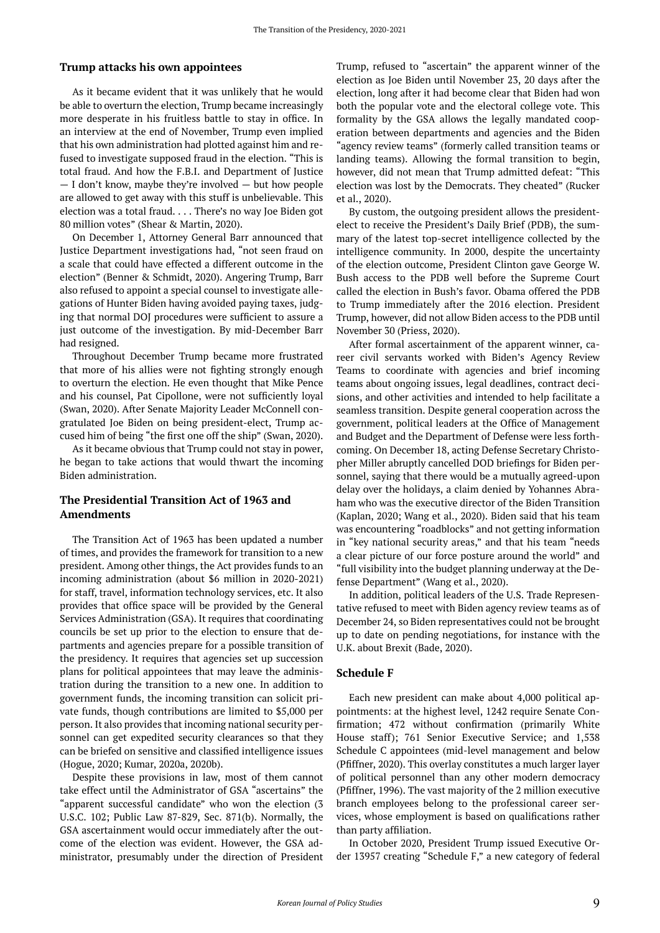### **Trump attacks his own appointees**

As it became evident that it was unlikely that he would be able to overturn the election, Trump became increasingly more desperate in his fruitless battle to stay in office. In an interview at the end of November, Trump even implied that his own administration had plotted against him and refused to investigate supposed fraud in the election. "This is total fraud. And how the F.B.I. and Department of Justice — I don't know, maybe they're involved — but how people are allowed to get away with this stuff is unbelievable. This election was a total fraud. . . . There's no way Joe Biden got 80 million votes" (Shear & Martin, 2020).

On December 1, Attorney General Barr announced that Justice Department investigations had, "not seen fraud on a scale that could have effected a different outcome in the election" (Benner & Schmidt, 2020). Angering Trump, Barr also refused to appoint a special counsel to investigate allegations of Hunter Biden having avoided paying taxes, judging that normal DOJ procedures were sufficient to assure a just outcome of the investigation. By mid-December Barr had resigned.

Throughout December Trump became more frustrated that more of his allies were not fighting strongly enough to overturn the election. He even thought that Mike Pence and his counsel, Pat Cipollone, were not sufficiently loyal (Swan, 2020). After Senate Majority Leader McConnell congratulated Joe Biden on being president-elect, Trump accused him of being "the first one off the ship" (Swan, 2020).

As it became obvious that Trump could not stay in power, he began to take actions that would thwart the incoming Biden administration.

### **The Presidential Transition Act of 1963 and Amendments**

The Transition Act of 1963 has been updated a number of times, and provides the framework for transition to a new president. Among other things, the Act provides funds to an incoming administration (about \$6 million in 2020-2021) for staff, travel, information technology services, etc. It also provides that office space will be provided by the General Services Administration (GSA). It requires that coordinating councils be set up prior to the election to ensure that departments and agencies prepare for a possible transition of the presidency. It requires that agencies set up succession plans for political appointees that may leave the administration during the transition to a new one. In addition to government funds, the incoming transition can solicit private funds, though contributions are limited to \$5,000 per person. It also provides that incoming national security personnel can get expedited security clearances so that they can be briefed on sensitive and classified intelligence issues (Hogue, 2020; Kumar, 2020a, 2020b).

Despite these provisions in law, most of them cannot take effect until the Administrator of GSA "ascertains" the "apparent successful candidate" who won the election (3 U.S.C. 102; Public Law 87-829, Sec. 871(b). Normally, the GSA ascertainment would occur immediately after the outcome of the election was evident. However, the GSA administrator, presumably under the direction of President

Trump, refused to "ascertain" the apparent winner of the election as Joe Biden until November 23, 20 days after the election, long after it had become clear that Biden had won both the popular vote and the electoral college vote. This formality by the GSA allows the legally mandated cooperation between departments and agencies and the Biden "agency review teams" (formerly called transition teams or landing teams). Allowing the formal transition to begin, however, did not mean that Trump admitted defeat: "This election was lost by the Democrats. They cheated" (Rucker et al., 2020).

By custom, the outgoing president allows the presidentelect to receive the President's Daily Brief (PDB), the summary of the latest top-secret intelligence collected by the intelligence community. In 2000, despite the uncertainty of the election outcome, President Clinton gave George W. Bush access to the PDB well before the Supreme Court called the election in Bush's favor. Obama offered the PDB to Trump immediately after the 2016 election. President Trump, however, did not allow Biden access to the PDB until November 30 (Priess, 2020).

After formal ascertainment of the apparent winner, career civil servants worked with Biden's Agency Review Teams to coordinate with agencies and brief incoming teams about ongoing issues, legal deadlines, contract decisions, and other activities and intended to help facilitate a seamless transition. Despite general cooperation across the government, political leaders at the Office of Management and Budget and the Department of Defense were less forthcoming. On December 18, acting Defense Secretary Christopher Miller abruptly cancelled DOD briefings for Biden personnel, saying that there would be a mutually agreed-upon delay over the holidays, a claim denied by Yohannes Abraham who was the executive director of the Biden Transition (Kaplan, 2020; Wang et al., 2020). Biden said that his team was encountering "roadblocks" and not getting information in "key national security areas," and that his team "needs a clear picture of our force posture around the world" and "full visibility into the budget planning underway at the Defense Department" (Wang et al., 2020).

In addition, political leaders of the U.S. Trade Representative refused to meet with Biden agency review teams as of December 24, so Biden representatives could not be brought up to date on pending negotiations, for instance with the U.K. about Brexit (Bade, 2020).

#### **Schedule F**

Each new president can make about 4,000 political appointments: at the highest level, 1242 require Senate Confirmation; 472 without confirmation (primarily White House staff); 761 Senior Executive Service; and 1,538 Schedule C appointees (mid-level management and below (Pfiffner, 2020). This overlay constitutes a much larger layer of political personnel than any other modern democracy (Pfiffner, 1996). The vast majority of the 2 million executive branch employees belong to the professional career services, whose employment is based on qualifications rather than party affiliation.

In October 2020, President Trump issued Executive Order 13957 creating "Schedule F," a new category of federal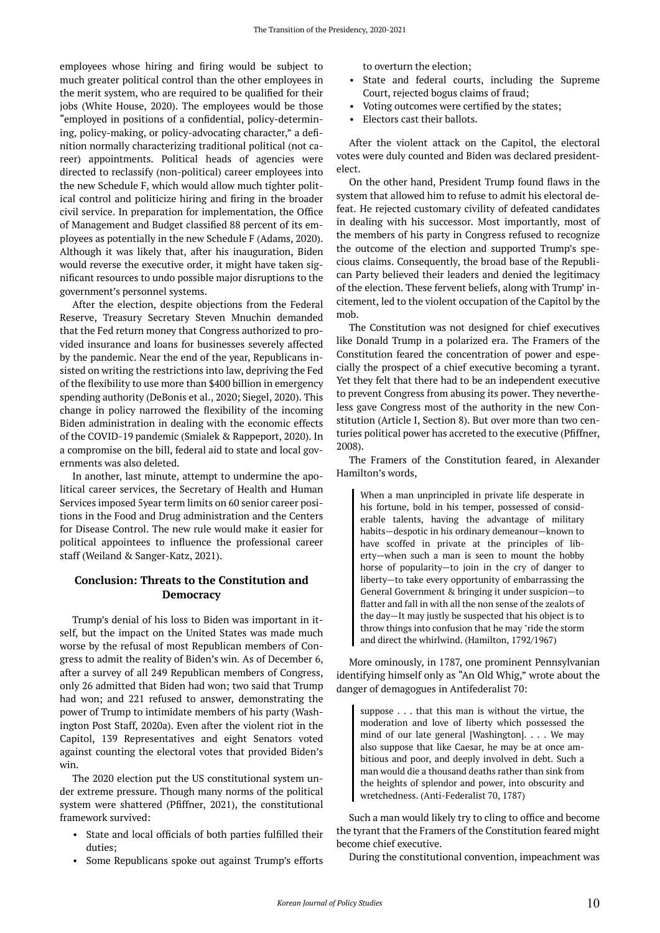employees whose hiring and firing would be subject to much greater political control than the other employees in the merit system, who are required to be qualified for their jobs (White House, 2020). The employees would be those "employed in positions of a confidential, policy-determining, policy-making, or policy-advocating character," a definition normally characterizing traditional political (not career) appointments. Political heads of agencies were directed to reclassify (non-political) career employees into the new Schedule F, which would allow much tighter political control and politicize hiring and firing in the broader civil service. In preparation for implementation, the Office of Management and Budget classified 88 percent of its employees as potentially in the new Schedule F (Adams, 2020). Although it was likely that, after his inauguration, Biden would reverse the executive order, it might have taken significant resources to undo possible major disruptions to the government's personnel systems.

After the election, despite objections from the Federal Reserve, Treasury Secretary Steven Mnuchin demanded that the Fed return money that Congress authorized to provided insurance and loans for businesses severely affected by the pandemic. Near the end of the year, Republicans insisted on writing the restrictions into law, depriving the Fed of the flexibility to use more than \$400 billion in emergency spending authority (DeBonis et al., 2020; Siegel, 2020). This change in policy narrowed the flexibility of the incoming Biden administration in dealing with the economic effects of the COVID-19 pandemic (Smialek & Rappeport, 2020). In a compromise on the bill, federal aid to state and local governments was also deleted.

In another, last minute, attempt to undermine the apolitical career services, the Secretary of Health and Human Services imposed 5year term limits on 60 senior career positions in the Food and Drug administration and the Centers for Disease Control. The new rule would make it easier for political appointees to influence the professional career staff (Weiland & Sanger-Katz, 2021).

# **Conclusion: Threats to the Constitution and Democracy**

Trump's denial of his loss to Biden was important in itself, but the impact on the United States was made much worse by the refusal of most Republican members of Congress to admit the reality of Biden's win. As of December 6, after a survey of all 249 Republican members of Congress, only 26 admitted that Biden had won; two said that Trump had won; and 221 refused to answer, demonstrating the power of Trump to intimidate members of his party (Washington Post Staff, 2020a). Even after the violent riot in the Capitol, 139 Representatives and eight Senators voted against counting the electoral votes that provided Biden's win.

The 2020 election put the US constitutional system under extreme pressure. Though many norms of the political system were shattered (Pfiffner, 2021), the constitutional framework survived:

- State and local officials of both parties fulfilled their duties;
- Some Republicans spoke out against Trump's efforts

to overturn the election;

- State and federal courts, including the Supreme Court, rejected bogus claims of fraud;
- Voting outcomes were certified by the states;
- Electors cast their ballots.

After the violent attack on the Capitol, the electoral votes were duly counted and Biden was declared presidentelect.

On the other hand, President Trump found flaws in the system that allowed him to refuse to admit his electoral defeat. He rejected customary civility of defeated candidates in dealing with his successor. Most importantly, most of the members of his party in Congress refused to recognize the outcome of the election and supported Trump's specious claims. Consequently, the broad base of the Republican Party believed their leaders and denied the legitimacy of the election. These fervent beliefs, along with Trump' incitement, led to the violent occupation of the Capitol by the mob.

The Constitution was not designed for chief executives like Donald Trump in a polarized era. The Framers of the Constitution feared the concentration of power and especially the prospect of a chief executive becoming a tyrant. Yet they felt that there had to be an independent executive to prevent Congress from abusing its power. They nevertheless gave Congress most of the authority in the new Constitution (Article I, Section 8). But over more than two centuries political power has accreted to the executive (Pfiffner, 2008).

The Framers of the Constitution feared, in Alexander Hamilton's words,

When a man unprincipled in private life desperate in his fortune, bold in his temper, possessed of considerable talents, having the advantage of military habits—despotic in his ordinary demeanour—known to have scoffed in private at the principles of liberty—when such a man is seen to mount the hobby horse of popularity—to join in the cry of danger to liberty—to take every opportunity of embarrassing the General Government & bringing it under suspicion—to flatter and fall in with all the non sense of the zealots of the day—It may justly be suspected that his object is to throw things into confusion that he may "ride the storm and direct the whirlwind. (Hamilton, 1792/1967)

More ominously, in 1787, one prominent Pennsylvanian identifying himself only as "An Old Whig," wrote about the danger of demagogues in Antifederalist 70:

suppose . . . that this man is without the virtue, the moderation and love of liberty which possessed the mind of our late general [Washington]. . . . We may also suppose that like Caesar, he may be at once ambitious and poor, and deeply involved in debt. Such a man would die a thousand deaths rather than sink from the heights of splendor and power, into obscurity and wretchedness. (Anti-Federalist 70, 1787)

Such a man would likely try to cling to office and become the tyrant that the Framers of the Constitution feared might become chief executive.

During the constitutional convention, impeachment was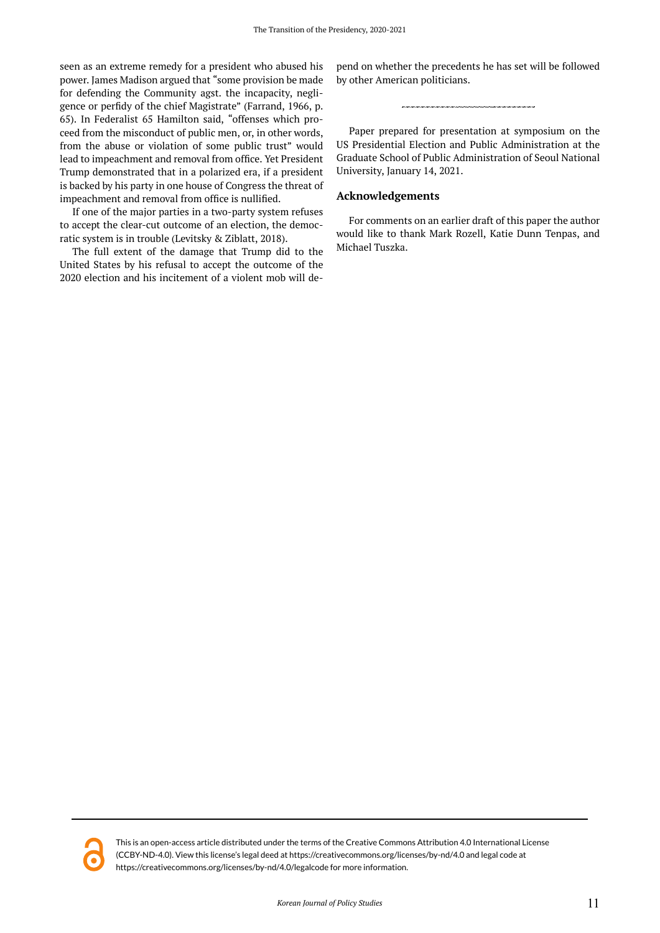seen as an extreme remedy for a president who abused his power. James Madison argued that "some provision be made for defending the Community agst. the incapacity, negligence or perfidy of the chief Magistrate" (Farrand, 1966, p. 65). In Federalist 65 Hamilton said, "offenses which proceed from the misconduct of public men, or, in other words, from the abuse or violation of some public trust" would lead to impeachment and removal from office. Yet President Trump demonstrated that in a polarized era, if a president is backed by his party in one house of Congress the threat of impeachment and removal from office is nullified.

If one of the major parties in a two-party system refuses to accept the clear-cut outcome of an election, the democratic system is in trouble (Levitsky & Ziblatt, 2018).

The full extent of the damage that Trump did to the United States by his refusal to accept the outcome of the 2020 election and his incitement of a violent mob will de-

pend on whether the precedents he has set will be followed by other American politicians.

Paper prepared for presentation at symposium on the US Presidential Election and Public Administration at the Graduate School of Public Administration of Seoul National University, January 14, 2021.

#### **Acknowledgements**

For comments on an earlier draft of this paper the author would like to thank Mark Rozell, Katie Dunn Tenpas, and Michael Tuszka.

This is an open-access article distributed under the terms of the Creative Commons Attribution 4.0 International License (CCBY-ND-4.0). View this license's legal deed at https://creativecommons.org/licenses/by-nd/4.0 and legal code at https://creativecommons.org/licenses/by-nd/4.0/legalcode for more information.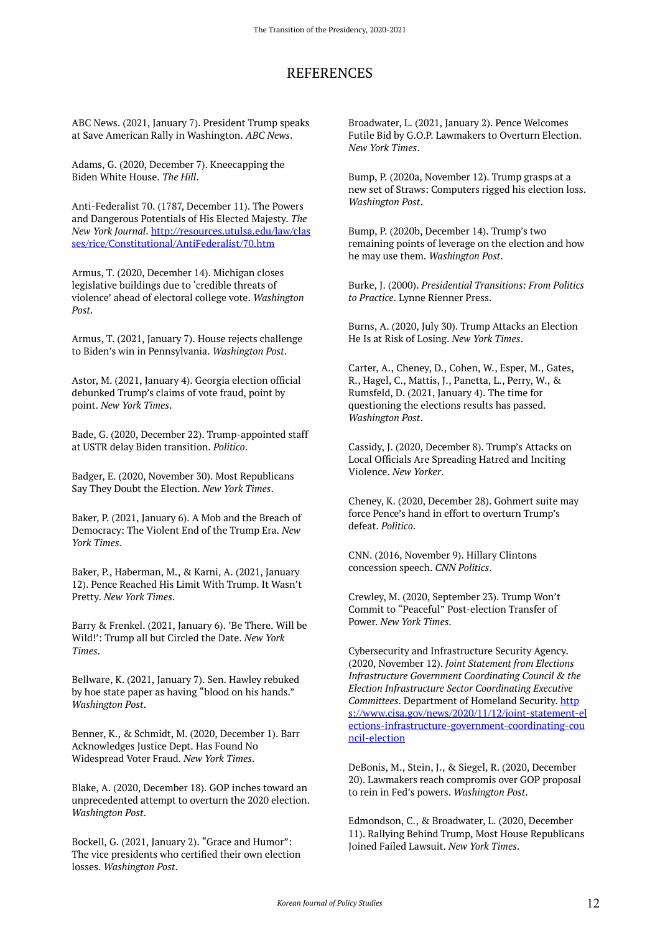# REFERENCES

ABC News. (2021, January 7). President Trump speaks at Save American Rally in Washington. *ABC News*.

Adams, G. (2020, December 7). Kneecapping the Biden White House. *The Hill*.

Anti-Federalist 70. (1787, December 11). The Powers and Dangerous Potentials of His Elected Majesty. *The New York Journal*. [http://resources.utulsa.edu/law/clas](http://resources.utulsa.edu/law/classes/rice/Constitutional/AntiFederalist/70.htm) [ses/rice/Constitutional/AntiFederalist/70.htm](http://resources.utulsa.edu/law/classes/rice/Constitutional/AntiFederalist/70.htm) 

Armus, T. (2020, December 14). Michigan closes legislative buildings due to 'credible threats of violence' ahead of electoral college vote. *Washington Post*.

Armus, T. (2021, January 7). House rejects challenge to Biden's win in Pennsylvania. *Washington Post*.

Astor, M. (2021, January 4). Georgia election official debunked Trump's claims of vote fraud, point by point. *New York Times*.

Bade, G. (2020, December 22). Trump-appointed staff at USTR delay Biden transition. *Politico*.

Badger, E. (2020, November 30). Most Republicans Say They Doubt the Election. *New York Times*.

Baker, P. (2021, January 6). A Mob and the Breach of Democracy: The Violent End of the Trump Era. *New York Times*.

Baker, P., Haberman, M., & Karni, A. (2021, January 12). Pence Reached His Limit With Trump. It Wasn't Pretty. *New York Times*.

Barry & Frenkel. (2021, January 6). 'Be There. Will be Wild!': Trump all but Circled the Date. *New York Times*.

Bellware, K. (2021, January 7). Sen. Hawley rebuked by hoe state paper as having "blood on his hands." *Washington Post*.

Benner, K., & Schmidt, M. (2020, December 1). Barr Acknowledges Justice Dept. Has Found No Widespread Voter Fraud. *New York Times*.

Blake, A. (2020, December 18). GOP inches toward an unprecedented attempt to overturn the 2020 election. *Washington Post*.

Bockell, G. (2021, January 2). "Grace and Humor": The vice presidents who certified their own election losses. *Washington Post*.

Broadwater, L. (2021, January 2). Pence Welcomes Futile Bid by G.O.P. Lawmakers to Overturn Election. *New York Times*.

Bump, P. (2020a, November 12). Trump grasps at a new set of Straws: Computers rigged his election loss. *Washington Post*.

Bump, P. (2020b, December 14). Trump's two remaining points of leverage on the election and how he may use them. *Washington Post*.

Burke, J. (2000). *Presidential Transitions: From Politics to Practice*. Lynne Rienner Press.

Burns, A. (2020, July 30). Trump Attacks an Election He Is at Risk of Losing. *New York Times*.

Carter, A., Cheney, D., Cohen, W., Esper, M., Gates, R., Hagel, C., Mattis, J., Panetta, L., Perry, W., & Rumsfeld, D. (2021, January 4). The time for questioning the elections results has passed. *Washington Post*.

Cassidy, J. (2020, December 8). Trump's Attacks on Local Officials Are Spreading Hatred and Inciting Violence. *New Yorker*.

Cheney, K. (2020, December 28). Gohmert suite may force Pence's hand in effort to overturn Trump's defeat. *Politico*.

CNN. (2016, November 9). Hillary Clintons concession speech. *CNN Politics*.

Crewley, M. (2020, September 23). Trump Won't Commit to "Peaceful" Post-election Transfer of Power. *New York Times*.

Cybersecurity and Infrastructure Security Agency. (2020, November 12). *Joint Statement from Elections Infrastructure Government Coordinating Council & the Election Infrastructure Sector Coordinating Executive Committees*. Department of Homeland Security. [http](https://www.cisa.gov/news/2020/11/12/joint-statement-elections-infrastructure-government-coordinating-council-election) [s://www.cisa.gov/news/2020/11/12/joint-statement-el](https://www.cisa.gov/news/2020/11/12/joint-statement-elections-infrastructure-government-coordinating-council-election) [ections-infrastructure-government-coordinating-cou](https://www.cisa.gov/news/2020/11/12/joint-statement-elections-infrastructure-government-coordinating-council-election) [ncil-election](https://www.cisa.gov/news/2020/11/12/joint-statement-elections-infrastructure-government-coordinating-council-election) 

DeBonis, M., Stein, J., & Siegel, R. (2020, December 20). Lawmakers reach compromis over GOP proposal to rein in Fed's powers. *Washington Post*.

Edmondson, C., & Broadwater, L. (2020, December 11). Rallying Behind Trump, Most House Republicans Joined Failed Lawsuit. *New York Times*.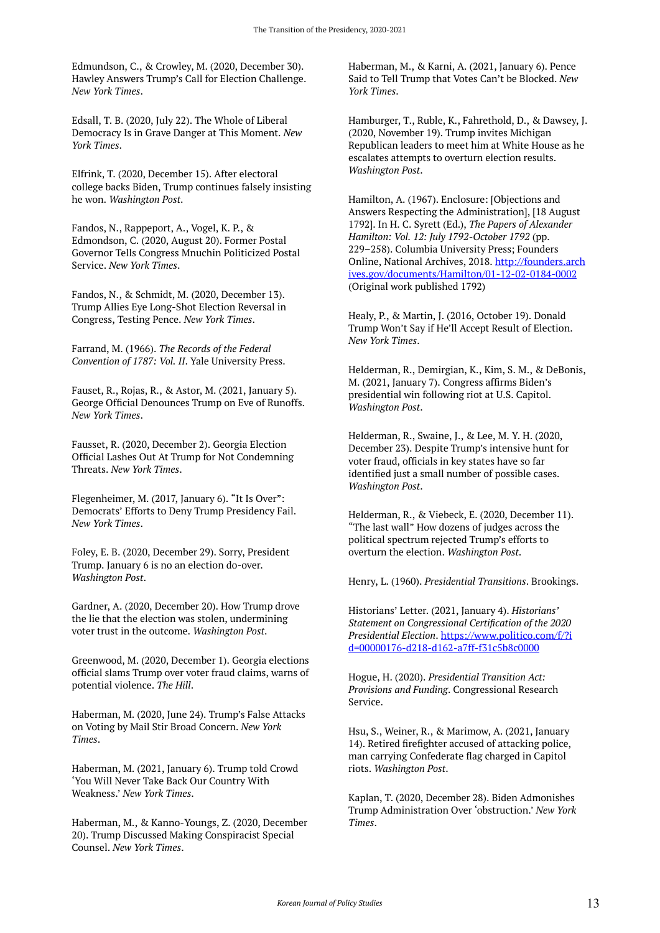Edmundson, C., & Crowley, M. (2020, December 30). Hawley Answers Trump's Call for Election Challenge. *New York Times*.

Edsall, T. B. (2020, July 22). The Whole of Liberal Democracy Is in Grave Danger at This Moment. *New York Times*.

Elfrink, T. (2020, December 15). After electoral college backs Biden, Trump continues falsely insisting he won. *Washington Post*.

Fandos, N., Rappeport, A., Vogel, K. P., & Edmondson, C. (2020, August 20). Former Postal Governor Tells Congress Mnuchin Politicized Postal Service. *New York Times*.

Fandos, N., & Schmidt, M. (2020, December 13). Trump Allies Eye Long-Shot Election Reversal in Congress, Testing Pence. *New York Times*.

Farrand, M. (1966). *The Records of the Federal Convention of 1787: Vol. II*. Yale University Press.

Fauset, R., Rojas, R., & Astor, M. (2021, January 5). George Official Denounces Trump on Eve of Runoffs. *New York Times*.

Fausset, R. (2020, December 2). Georgia Election Official Lashes Out At Trump for Not Condemning Threats. *New York Times*.

Flegenheimer, M. (2017, January 6). "It Is Over": Democrats' Efforts to Deny Trump Presidency Fail. *New York Times*.

Foley, E. B. (2020, December 29). Sorry, President Trump. January 6 is no an election do-over. *Washington Post*.

Gardner, A. (2020, December 20). How Trump drove the lie that the election was stolen, undermining voter trust in the outcome. *Washington Post*.

Greenwood, M. (2020, December 1). Georgia elections official slams Trump over voter fraud claims, warns of potential violence. *The Hill*.

Haberman, M. (2020, June 24). Trump's False Attacks on Voting by Mail Stir Broad Concern. *New York Times*.

Haberman, M. (2021, January 6). Trump told Crowd 'You Will Never Take Back Our Country With Weakness.' *New York Times*.

Haberman, M., & Kanno-Youngs, Z. (2020, December 20). Trump Discussed Making Conspiracist Special Counsel. *New York Times*.

Haberman, M., & Karni, A. (2021, January 6). Pence Said to Tell Trump that Votes Can't be Blocked. *New York Times*.

Hamburger, T., Ruble, K., Fahrethold, D., & Dawsey, J. (2020, November 19). Trump invites Michigan Republican leaders to meet him at White House as he escalates attempts to overturn election results. *Washington Post*.

Hamilton, A. (1967). Enclosure: [Objections and Answers Respecting the Administration], [18 August 1792]. In H. C. Syrett (Ed.), *The Papers of Alexander Hamilton: Vol. 12: July 1792-October 1792* (pp. 229–258). Columbia University Press; Founders Online, National Archives, 2018. [http://founders.arch](http://founders.archives.gov/documents/Hamilton/01-12-02-0184-0002) [ives.gov/documents/Hamilton/01-12-02-0184-0002](http://founders.archives.gov/documents/Hamilton/01-12-02-0184-0002) (Original work published 1792)

Healy, P., & Martin, J. (2016, October 19). Donald Trump Won't Say if He'll Accept Result of Election. *New York Times*.

Helderman, R., Demirgian, K., Kim, S. M., & DeBonis, M. (2021, January 7). Congress affirms Biden's presidential win following riot at U.S. Capitol. *Washington Post*.

Helderman, R., Swaine, J., & Lee, M. Y. H. (2020, December 23). Despite Trump's intensive hunt for voter fraud, officials in key states have so far identified just a small number of possible cases. *Washington Post*.

Helderman, R., & Viebeck, E. (2020, December 11). "The last wall" How dozens of judges across the political spectrum rejected Trump's efforts to overturn the election. *Washington Post*.

Henry, L. (1960). *Presidential Transitions*. Brookings.

Historians' Letter. (2021, January 4). *Historians' Statement on Congressional Certification of the 2020 Presidential Election*. [https://www.politico.com/f/?i](https://www.politico.com/f/?id=00000176-d218-d162-a7ff-f31c5b8c0000) [d=00000176-d218-d162-a7ff-f31c5b8c0000](https://www.politico.com/f/?id=00000176-d218-d162-a7ff-f31c5b8c0000) 

Hogue, H. (2020). *Presidential Transition Act: Provisions and Funding*. Congressional Research Service.

Hsu, S., Weiner, R., & Marimow, A. (2021, January 14). Retired firefighter accused of attacking police, man carrying Confederate flag charged in Capitol riots. *Washington Post*.

Kaplan, T. (2020, December 28). Biden Admonishes Trump Administration Over 'obstruction.' *New York Times*.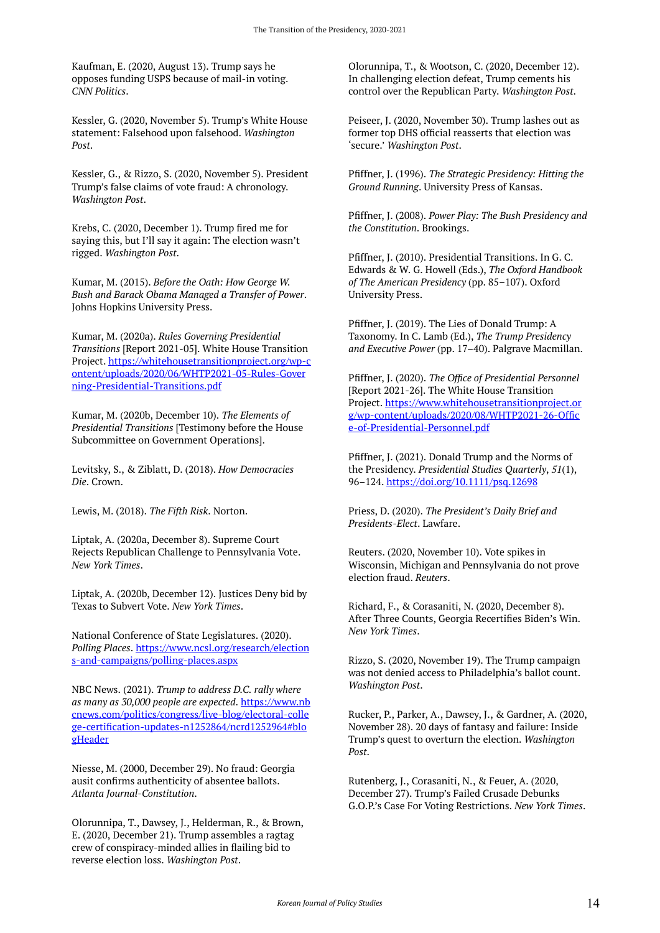Kaufman, E. (2020, August 13). Trump says he opposes funding USPS because of mail-in voting. *CNN Politics*.

Kessler, G. (2020, November 5). Trump's White House statement: Falsehood upon falsehood. *Washington Post*.

Kessler, G., & Rizzo, S. (2020, November 5). President Trump's false claims of vote fraud: A chronology. *Washington Post*.

Krebs, C. (2020, December 1). Trump fired me for saying this, but I'll say it again: The election wasn't rigged. *Washington Post*.

Kumar, M. (2015). *Before the Oath: How George W. Bush and Barack Obama Managed a Transfer of Power*. Johns Hopkins University Press.

Kumar, M. (2020a). *Rules Governing Presidential Transitions* [Report 2021-05]. White House Transition Project. [https://whitehousetransitionproject.org/wp-c](https://whitehousetransitionproject.org/wp-content/uploads/2020/06/WHTP2021-05-Rules-Governing-Presidential-Transitions.pdf) [ontent/uploads/2020/06/WHTP2021-05-Rules-Gover](https://whitehousetransitionproject.org/wp-content/uploads/2020/06/WHTP2021-05-Rules-Governing-Presidential-Transitions.pdf) [ning-Presidential-Transitions.pdf](https://whitehousetransitionproject.org/wp-content/uploads/2020/06/WHTP2021-05-Rules-Governing-Presidential-Transitions.pdf) 

Kumar, M. (2020b, December 10). *The Elements of Presidential Transitions* [Testimony before the House Subcommittee on Government Operations].

Levitsky, S., & Ziblatt, D. (2018). *How Democracies Die*. Crown.

Lewis, M. (2018). *The Fifth Risk*. Norton.

Liptak, A. (2020a, December 8). Supreme Court Rejects Republican Challenge to Pennsylvania Vote. *New York Times*.

Liptak, A. (2020b, December 12). Justices Deny bid by Texas to Subvert Vote. *New York Times*.

National Conference of State Legislatures. (2020). *Polling Places*. [https://www.ncsl.org/research/election](https://www.ncsl.org/research/elections-and-campaigns/polling-places.aspx) [s-and-campaigns/polling-places.aspx](https://www.ncsl.org/research/elections-and-campaigns/polling-places.aspx) 

NBC News. (2021). *Trump to address D.C. rally where as many as 30,000 people are expected*. [https://www.nb](https://www.nbcnews.com/politics/congress/live-blog/electoral-college-certification-updates-n1252864/ncrd1252964#blogHeader) [cnews.com/politics/congress/live-blog/electoral-colle](https://www.nbcnews.com/politics/congress/live-blog/electoral-college-certification-updates-n1252864/ncrd1252964#blogHeader) [ge-certification-updates-n1252864/ncrd1252964#blo](https://www.nbcnews.com/politics/congress/live-blog/electoral-college-certification-updates-n1252864/ncrd1252964#blogHeader) [gHeader](https://www.nbcnews.com/politics/congress/live-blog/electoral-college-certification-updates-n1252864/ncrd1252964#blogHeader)

Niesse, M. (2000, December 29). No fraud: Georgia ausit confirms authenticity of absentee ballots. *Atlanta Journal-Constitution*.

Olorunnipa, T., Dawsey, J., Helderman, R., & Brown, E. (2020, December 21). Trump assembles a ragtag crew of conspiracy-minded allies in flailing bid to reverse election loss. *Washington Post*.

Olorunnipa, T., & Wootson, C. (2020, December 12). In challenging election defeat, Trump cements his control over the Republican Party. *Washington Post*.

Peiseer, J. (2020, November 30). Trump lashes out as former top DHS official reasserts that election was 'secure.' *Washington Post*.

Pfiffner, J. (1996). *The Strategic Presidency: Hitting the Ground Running*. University Press of Kansas.

Pfiffner, J. (2008). *Power Play: The Bush Presidency and the Constitution*. Brookings.

Pfiffner, J. (2010). Presidential Transitions. In G. C. Edwards & W. G. Howell (Eds.), *The Oxford Handbook of The American Presidency* (pp. 85–107). Oxford University Press.

Pfiffner, J. (2019). The Lies of Donald Trump: A Taxonomy. In C. Lamb (Ed.), *The Trump Presidency and Executive Power* (pp. 17–40). Palgrave Macmillan.

Pfiffner, J. (2020). *The Office of Presidential Personnel*  [Report 2021-26]. The White House Transition Project. [https://www.whitehousetransitionproject.or](https://www.whitehousetransitionproject.org/wp-content/uploads/2020/08/WHTP2021-26-Office-of-Presidential-Personnel.pdf) [g/wp-content/uploads/2020/08/WHTP2021-26-Offic](https://www.whitehousetransitionproject.org/wp-content/uploads/2020/08/WHTP2021-26-Office-of-Presidential-Personnel.pdf) [e-of-Presidential-Personnel.pdf](https://www.whitehousetransitionproject.org/wp-content/uploads/2020/08/WHTP2021-26-Office-of-Presidential-Personnel.pdf) 

Pfiffner, J. (2021). Donald Trump and the Norms of the Presidency. *Presidential Studies Quarterly*, *51*(1), 96–124. <https://doi.org/10.1111/psq.12698>

Priess, D. (2020). *The President's Daily Brief and Presidents-Elect*. Lawfare.

Reuters. (2020, November 10). Vote spikes in Wisconsin, Michigan and Pennsylvania do not prove election fraud. *Reuters*.

Richard, F., & Corasaniti, N. (2020, December 8). After Three Counts, Georgia Recertifies Biden's Win. *New York Times*.

Rizzo, S. (2020, November 19). The Trump campaign was not denied access to Philadelphia's ballot count. *Washington Post*.

Rucker, P., Parker, A., Dawsey, J., & Gardner, A. (2020, November 28). 20 days of fantasy and failure: Inside Trump's quest to overturn the election. *Washington Post*.

Rutenberg, J., Corasaniti, N., & Feuer, A. (2020, December 27). Trump's Failed Crusade Debunks G.O.P.'s Case For Voting Restrictions. *New York Times*.